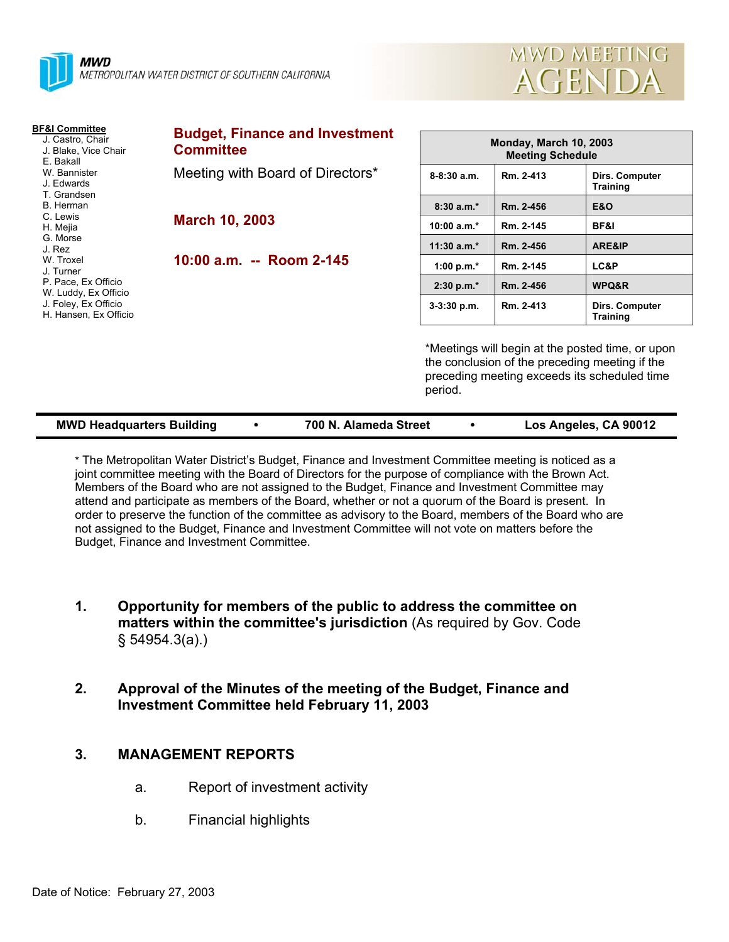



| <b>BF&amp;I Committee</b><br>J. Castro, Chair<br>J. Blake, Vice Chair<br>E. Bakall<br>W. Bannister<br>J. Edwards<br>T. Grandsen<br>B. Herman<br>C. Lewis<br>H. Mejia<br>G. Morse<br>J. Rez<br>W. Troxel<br>J. Turner<br>P. Pace, Ex Officio<br>W. Luddy, Ex Officio<br>J. Foley, Ex Officio<br>H. Hansen, Ex Officio | <b>Budget, Finance and Investment</b><br><b>Committee</b> | <b>Monday, March 10, 2003</b><br><b>Meeting Schedule</b>                                                                                                      |           |                                   |  |
|----------------------------------------------------------------------------------------------------------------------------------------------------------------------------------------------------------------------------------------------------------------------------------------------------------------------|-----------------------------------------------------------|---------------------------------------------------------------------------------------------------------------------------------------------------------------|-----------|-----------------------------------|--|
|                                                                                                                                                                                                                                                                                                                      | Meeting with Board of Directors*<br><b>March 10, 2003</b> | 8-8:30 a.m.                                                                                                                                                   | Rm. 2-413 | Dirs. Computer<br><b>Training</b> |  |
|                                                                                                                                                                                                                                                                                                                      |                                                           | $8:30a.m.*$                                                                                                                                                   | Rm. 2-456 | <b>E&amp;O</b>                    |  |
|                                                                                                                                                                                                                                                                                                                      |                                                           | $10:00 a.m.*$                                                                                                                                                 | Rm. 2-145 | BF&I                              |  |
|                                                                                                                                                                                                                                                                                                                      |                                                           | 11:30 $a.m.*$                                                                                                                                                 | Rm. 2-456 | ARE&IP                            |  |
|                                                                                                                                                                                                                                                                                                                      | 10:00 a.m. -- Room 2-145                                  | 1:00 p.m. $*$                                                                                                                                                 | Rm. 2-145 | LC&P                              |  |
|                                                                                                                                                                                                                                                                                                                      |                                                           | $2:30 p.m.*$                                                                                                                                                  | Rm. 2-456 | WPQ&R                             |  |
|                                                                                                                                                                                                                                                                                                                      |                                                           | $3-3:30$ p.m.                                                                                                                                                 | Rm. 2-413 | Dirs. Computer<br>Training        |  |
|                                                                                                                                                                                                                                                                                                                      |                                                           | *Meetings will begin at the posted time, or upon<br>the conclusion of the preceding meeting if the<br>preceding meeting exceeds its scheduled time<br>period. |           |                                   |  |

| <b>MWD Headquarters Building</b> |  | 700 N. Alameda Street |  | Los Angeles, CA 90012 |
|----------------------------------|--|-----------------------|--|-----------------------|
|----------------------------------|--|-----------------------|--|-----------------------|

\* The Metropolitan Water District's Budget, Finance and Investment Committee meeting is noticed as a joint committee meeting with the Board of Directors for the purpose of compliance with the Brown Act. Members of the Board who are not assigned to the Budget, Finance and Investment Committee may attend and participate as members of the Board, whether or not a quorum of the Board is present. In order to preserve the function of the committee as advisory to the Board, members of the Board who are not assigned to the Budget, Finance and Investment Committee will not vote on matters before the Budget, Finance and Investment Committee.

- **1. Opportunity for members of the public to address the committee on matters within the committee's jurisdiction** (As required by Gov. Code § 54954.3(a).)
- **2. Approval of the Minutes of the meeting of the Budget, Finance and Investment Committee held February 11, 2003**

# **3. MANAGEMENT REPORTS**

- a. Report of investment activity
- b. Financial highlights